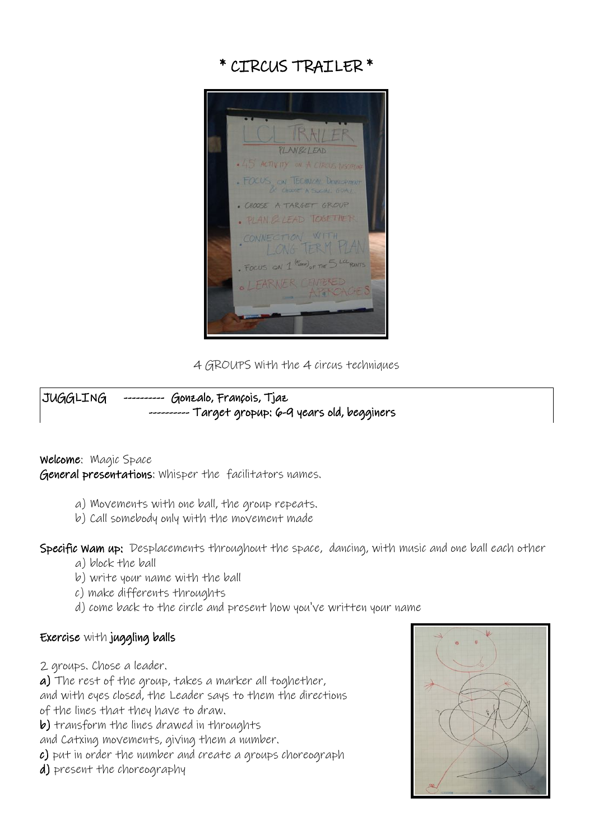



4 GROUPS With the 4 circus techniques

# JUGGLING ---------- Gonzalo, François, Tjaz -- Target gropup: 6-9 years old, begginers

## Welcome: Magic Space

General presentations: Whisper the facilitators names.

- a) Movements with one ball, the group repeats.
- b) Call somebody only with the movement made

Specific Wam up: Desplacements throughout the space, dancing, with music and one ball each other

- a) block the ball
- b) write your name with the ball
- c) make differents throughts
- d) come back to the circle and present how you've written your name

## Exercise with juggling balls

2 groups. Chose a leader.

a) The rest of the group, takes a marker all toghether,

- and with eyes closed, the Leader says to them the directions of the lines that they have to draw.
- b) transform the lines drawed in throughts
- and Catxing movements, giving them a number.
- c) put in order the number and create a groups choreograph
- d) present the choreography

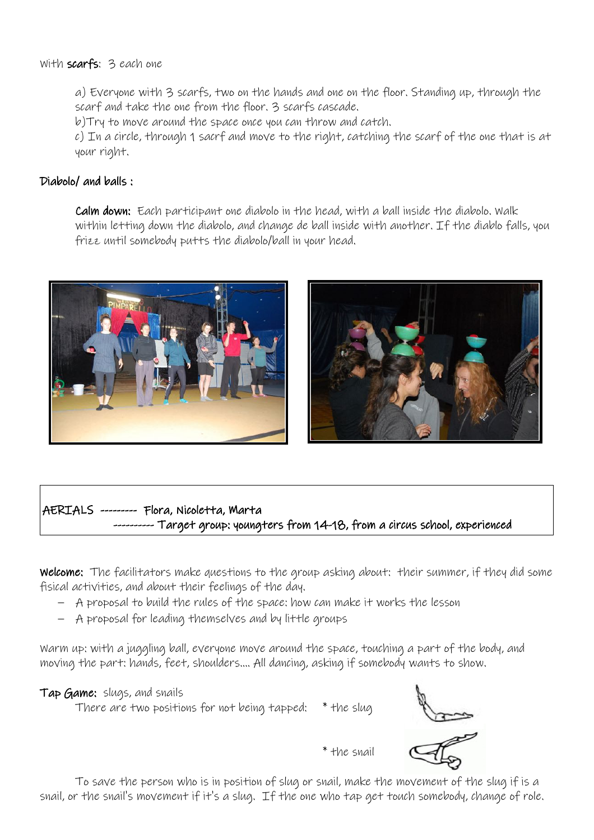#### With scarfs: 3 each one

a) Everyone with 3 scarfs, two on the hands and one on the floor. Standing up, through the scarf and take the one from the floor. 3 scarfs cascade.

b)Try to move around the space once you can throw and catch.

c) In a circle, through 1 sacrf and move to the right, catching the scarf of the one that is at your right.

#### Diabolo/ and balls :

Calm down: Each participant one diabolo in the head, with a ball inside the diabolo. Walk within letting down the diabolo, and change de ball inside with another. If the diablo falls, you frizz until somebody putts the diabolo/ball in your head.





# AERIALS --------- Flora, Nicoletta, Marta ---- Target group: youngters from 14-18, from a circus school, experienced

Welcome: The facilitators make questions to the group asking about: their summer, if they did some fisical activities, and about their feelings of the day.

- A proposal to build the rules of the space: how can make it works the lesson
- A proposal for leading themselves and by little groups

Warm up: with a juggling ball, everyone move around the space, touching a part of the body, and moving the part: hands, feet, shoulders.... All dancing, asking if somebody wants to show.

#### Tap Game: slugs, and snails

There are two positions for not being tapped: \* the slug



\* the snail

To save the person who is in position of slug or snail, make the movement of the slug if is a snail, or the snail's movement if it's a slug. If the one who tap get touch somebody, change of role.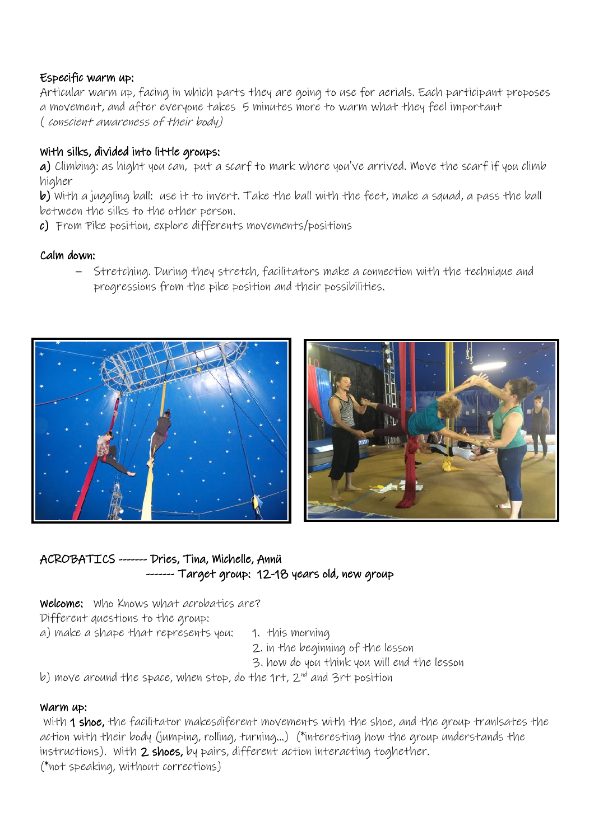# Especific warm up:

Articular warm up, facing in which parts they are going to use for aerials. Each participant proposes a movement, and after everyone takes 5 minutes more to warm what they feel important ( conscient awareness of their body)

# With silks, divided into little groups:

a) Climbing: as hight you can, put a scarf to mark where you've arrived. Move the scarf if you climb higher

b) With a juggling ball: use it to invert. Take the ball with the feet, make a squad, a pass the ball between the silks to the other person.

c) From Pike position, explore differents movements/positions

# Calm down:

– Stretching. During they stretch, facilitators make a connection with the technique and progressions from the pike position and their possibilities.





# ACROBATICS ------- Dries, Tina, Michelle, Annü ------- Target group: 12-18 years old, new group

Welcome: Who Knows what acrobatics are?

Different questions to the group:

a) make a shape that represents you: 1. this morning

2. in the beginning of the lesson

3. how do you think you will end the lesson

b) move around the space, when stop, do the  $1$ rt,  $2^{nd}$  and  $3$ rt position

## Warm up:

 With 1 shoe, the facilitator makesdiferent movements with the shoe, and the group tranlsates the action with their body (jumping, rolling, turning...) (\*interesting how the group understands the instructions). With 2 shoes, by pairs, different action interacting toghether. (\*not speaking, without corrections)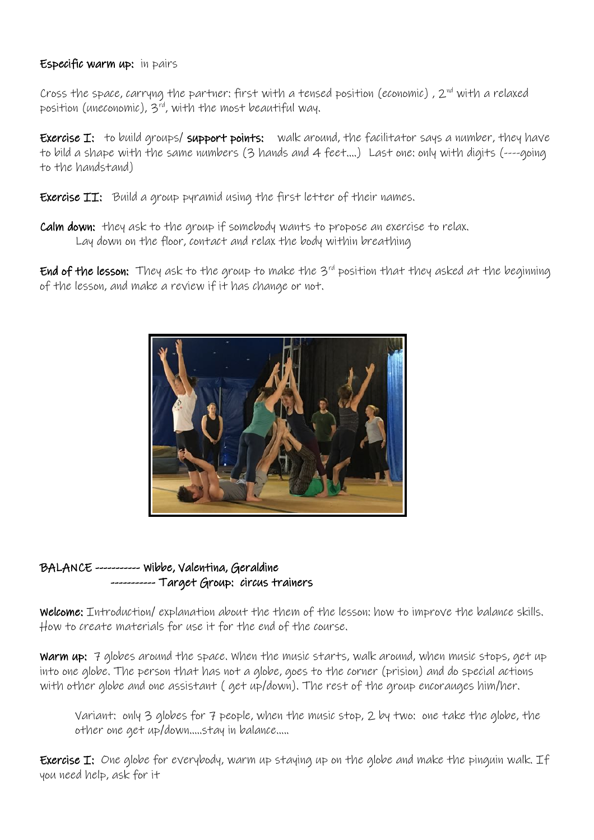## Especific warm up: in pairs

Cross the space, carryng the partner: first with a tensed position (economic),  $2^{nd}$  with a relaxed position (uneconomic),  $3^{rd}$ , with the most beautiful way.

Exercise I: to build groups/ support points: walk around, the facilitator says a number, they have to bild a shape with the same numbers (3 hands and 4 feet....) Last one: only with digits (----going to the handstand)

Exercise II: Build a group pyramid using the first letter of their names.

Calm down: they ask to the group if somebody wants to propose an exercise to relax. Lay down on the floor, contact and relax the body within breathing

End of the lesson: They ask to the group to make the 3<sup>rd</sup> position that they asked at the beginning of the lesson, and make a review if it has change or not.



# BALANCE ----------- Wibbe, Valentina, Geraldine ----------- Target Group: circus trainers

Welcome: Introduction/ explanation about the them of the lesson: how to improve the balance skills. How to create materials for use it for the end of the course.

Warm up: 7 globes around the space. When the music starts, walk around, when music stops, get up into one globe. The person that has not a globe, goes to the corner (prision) and do special actions with other globe and one assistant ( get up/down). The rest of the group encorauges him/her.

Variant: only 3 globes for 7 people, when the music stop, 2 by two: one take the globe, the other one get up/down.....stay in balance.....

Exercise I: One globe for everybody, warm up staying up on the globe and make the pinguin walk. If you need help, ask for it